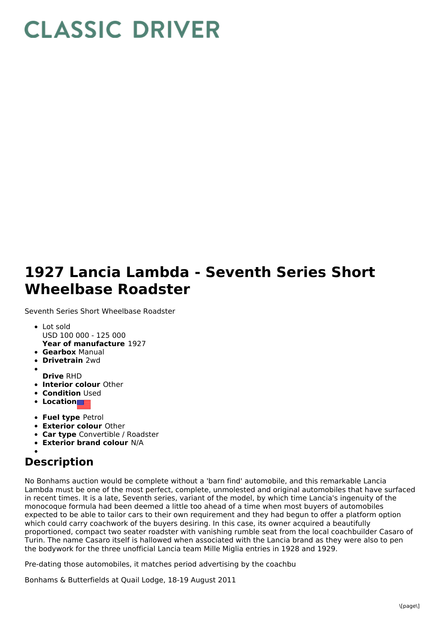## **CLASSIC DRIVER**

## **1927 Lancia Lambda - Seventh Series Short Wheelbase Roadster**

Seventh Series Short Wheelbase Roadster

- **Year of manufacture** 1927 Lot sold USD 100 000 - 125 000
- **Gearbox** Manual
- **Drivetrain** 2wd
- 
- **Drive** RHD
- **Interior colour** Other
- **Condition Used**
- **Location**
- **Fuel type** Petrol
- **Exterior colour** Other
- **Car type** Convertible / Roadster
- **Exterior brand colour** N/A

## **Description**

No Bonhams auction would be complete without a 'barn find' automobile, and this remarkable Lancia Lambda must be one of the most perfect, complete, unmolested and original automobiles that have surfaced in recent times. It is a late, Seventh series, variant of the model, by which time Lancia's ingenuity of the monocoque formula had been deemed a little too ahead of a time when most buyers of automobiles expected to be able to tailor cars to their own requirement and they had begun to offer a platform option which could carry coachwork of the buyers desiring. In this case, its owner acquired a beautifully proportioned, compact two seater roadster with vanishing rumble seat from the local coachbuilder Casaro of Turin. The name Casaro itself is hallowed when associated with the Lancia brand as they were also to pen the bodywork for the three unofficial Lancia team Mille Miglia entries in 1928 and 1929.

Pre-dating those automobiles, it matches period advertising by the coachbu

Bonhams & Butterfields at Quail Lodge, 18-19 August 2011